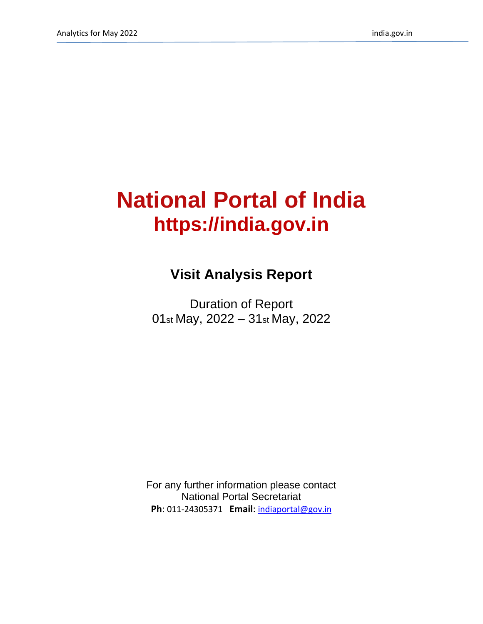# **National Portal of India https://india.gov.in**

## **Visit Analysis Report**

Duration of Report 01st May, 2022 – 31st May, 2022

For any further information please contact National Portal Secretariat **Ph**: 011-24305371 **Email**: [indiaportal@gov.in](mailto:indiaportal@gov.in)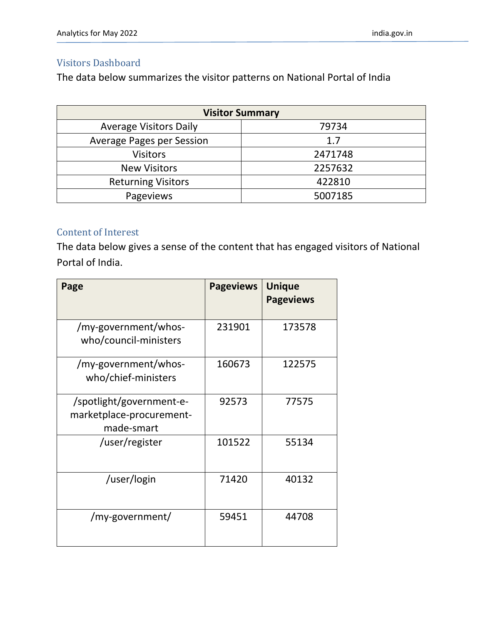#### Visitors Dashboard

The data below summarizes the visitor patterns on National Portal of India

| <b>Visitor Summary</b>           |         |  |  |  |
|----------------------------------|---------|--|--|--|
| <b>Average Visitors Daily</b>    | 79734   |  |  |  |
| <b>Average Pages per Session</b> | 1.7     |  |  |  |
| <b>Visitors</b>                  | 2471748 |  |  |  |
| <b>New Visitors</b>              | 2257632 |  |  |  |
| <b>Returning Visitors</b>        | 422810  |  |  |  |
| Pageviews                        | 5007185 |  |  |  |

#### Content of Interest

The data below gives a sense of the content that has engaged visitors of National Portal of India.

| Page                                                               | <b>Pageviews</b> | <b>Unique</b><br><b>Pageviews</b> |
|--------------------------------------------------------------------|------------------|-----------------------------------|
| /my-government/whos-<br>who/council-ministers                      | 231901           | 173578                            |
| /my-government/whos-<br>who/chief-ministers                        | 160673           | 122575                            |
| /spotlight/government-e-<br>marketplace-procurement-<br>made-smart | 92573            | 77575                             |
| /user/register                                                     | 101522           | 55134                             |
| /user/login                                                        | 71420            | 40132                             |
| /my-government/                                                    | 59451            | 44708                             |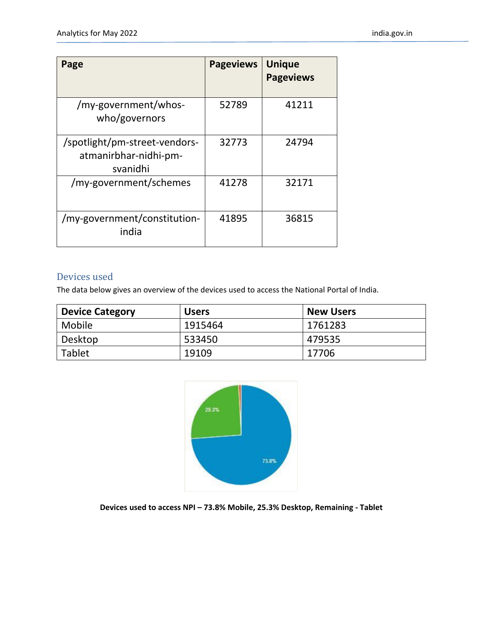| Page                                                               | <b>Pageviews</b> | <b>Unique</b><br><b>Pageviews</b> |
|--------------------------------------------------------------------|------------------|-----------------------------------|
| /my-government/whos-<br>who/governors                              | 52789            | 41211                             |
| /spotlight/pm-street-vendors-<br>atmanirbhar-nidhi-pm-<br>svanidhi | 32773            | 24794                             |
| /my-government/schemes                                             | 41278            | 32171                             |
| /my-government/constitution-<br>india                              | 41895            | 36815                             |

#### Devices used

The data below gives an overview of the devices used to access the National Portal of India.

| <b>Device Category</b> | <b>Users</b> | <b>New Users</b> |
|------------------------|--------------|------------------|
| Mobile                 | 1915464      | 1761283          |
| Desktop                | 533450       | 479535           |
| Tablet                 | 19109        | 17706            |



**Devices used to access NPI – 73.8% Mobile, 25.3% Desktop, Remaining - Tablet**